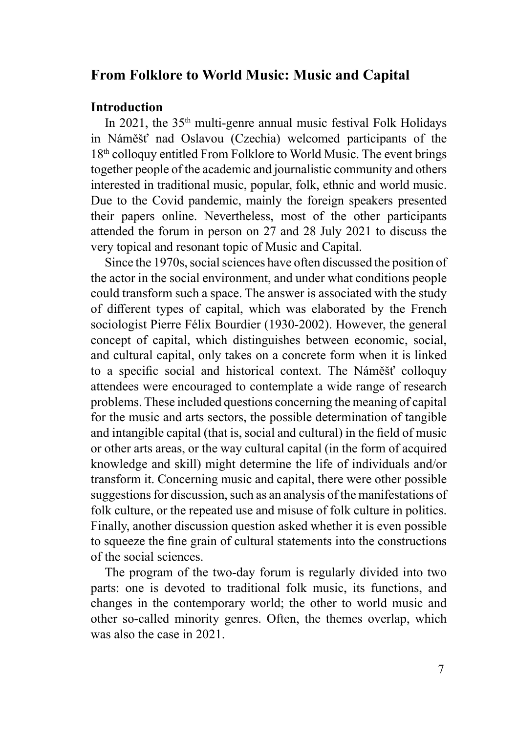## **From Folklore to World Music: Music and Capital**

## **Introduction**

In 2021, the  $35<sup>th</sup>$  multi-genre annual music festival Folk Holidays in Náměšť nad Oslavou (Czechia) welcomed participants of the 18<sup>th</sup> colloquy entitled From Folklore to World Music. The event brings together people of the academic and journalistic community and others interested in traditional music, popular, folk, ethnic and world music. Due to the Covid pandemic, mainly the foreign speakers presented their papers online. Nevertheless, most of the other participants attended the forum in person on 27 and 28 July 2021 to discuss the very topical and resonant topic of Music and Capital.

Since the 1970s, social sciences have often discussed the position of the actor in the social environment, and under what conditions people could transform such a space. The answer is associated with the study of different types of capital, which was elaborated by the French sociologist Pierre Félix Bourdier (1930-2002). However, the general concept of capital, which distinguishes between economic, social, and cultural capital, only takes on a concrete form when it is linked to a specific social and historical context. The Náměšť colloquy attendees were encouraged to contemplate a wide range of research problems. These included questions concerning the meaning of capital for the music and arts sectors, the possible determination of tangible and intangible capital (that is, social and cultural) in the field of music or other arts areas, or the way cultural capital (in the form of acquired knowledge and skill) might determine the life of individuals and/or transform it. Concerning music and capital, there were other possible suggestions for discussion, such as an analysis of the manifestations of folk culture, or the repeated use and misuse of folk culture in politics. Finally, another discussion question asked whether it is even possible to squeeze the fine grain of cultural statements into the constructions of the social sciences.

The program of the two-day forum is regularly divided into two parts: one is devoted to traditional folk music, its functions, and changes in the contemporary world; the other to world music and other so-called minority genres. Often, the themes overlap, which was also the case in 2021.